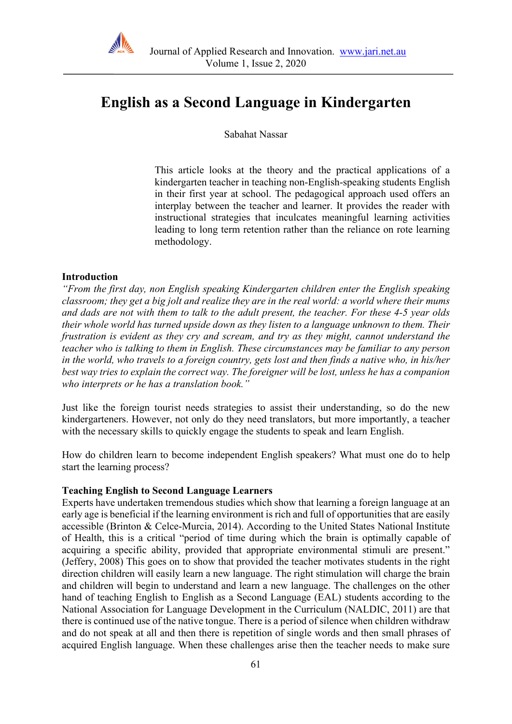

# **English as a Second Language in Kindergarten**

Sabahat Nassar

This article looks at the theory and the practical applications of a kindergarten teacher in teaching non-English-speaking students English in their first year at school. The pedagogical approach used offers an interplay between the teacher and learner. It provides the reader with instructional strategies that inculcates meaningful learning activities leading to long term retention rather than the reliance on rote learning methodology.

#### **Introduction**

*"From the first day, non English speaking Kindergarten children enter the English speaking classroom; they get a big jolt and realize they are in the real world: a world where their mums and dads are not with them to talk to the adult present, the teacher. For these 4-5 year olds their whole world has turned upside down as they listen to a language unknown to them. Their frustration is evident as they cry and scream, and try as they might, cannot understand the teacher who is talking to them in English. These circumstances may be familiar to any person in the world, who travels to a foreign country, gets lost and then finds a native who, in his/her best way tries to explain the correct way. The foreigner will be lost, unless he has a companion who interprets or he has a translation book."*

Just like the foreign tourist needs strategies to assist their understanding, so do the new kindergarteners. However, not only do they need translators, but more importantly, a teacher with the necessary skills to quickly engage the students to speak and learn English.

How do children learn to become independent English speakers? What must one do to help start the learning process?

#### **Teaching English to Second Language Learners**

Experts have undertaken tremendous studies which show that learning a foreign language at an early age is beneficial if the learning environment is rich and full of opportunities that are easily accessible (Brinton & Celce-Murcia, 2014). According to the United States National Institute of Health, this is a critical "period of time during which the brain is optimally capable of acquiring a specific ability, provided that appropriate environmental stimuli are present." (Jeffery, 2008) This goes on to show that provided the teacher motivates students in the right direction children will easily learn a new language. The right stimulation will charge the brain and children will begin to understand and learn a new language. The challenges on the other hand of teaching English to English as a Second Language (EAL) students according to the National Association for Language Development in the Curriculum (NALDIC, 2011) are that there is continued use of the native tongue. There is a period of silence when children withdraw and do not speak at all and then there is repetition of single words and then small phrases of acquired English language. When these challenges arise then the teacher needs to make sure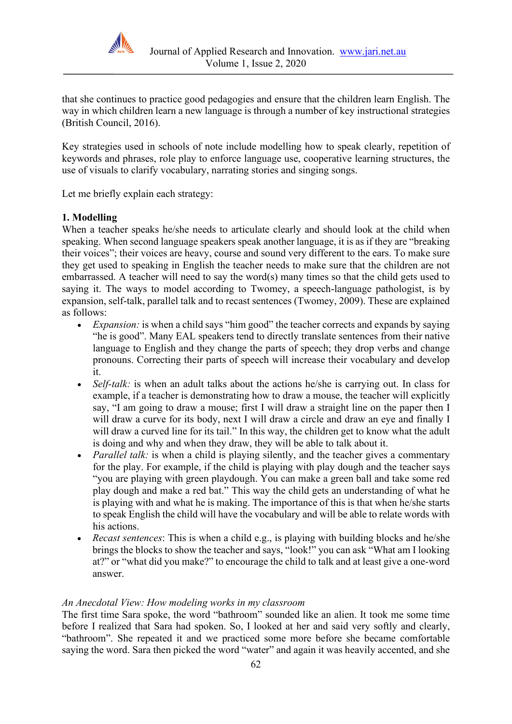

that she continues to practice good pedagogies and ensure that the children learn English. The way in which children learn a new language is through a number of key instructional strategies (British Council, 2016).

Key strategies used in schools of note include modelling how to speak clearly, repetition of keywords and phrases, role play to enforce language use, cooperative learning structures, the use of visuals to clarify vocabulary, narrating stories and singing songs.

Let me briefly explain each strategy:

# **1. Modelling**

When a teacher speaks he/she needs to articulate clearly and should look at the child when speaking. When second language speakers speak another language, it is as if they are "breaking their voices"; their voices are heavy, course and sound very different to the ears. To make sure they get used to speaking in English the teacher needs to make sure that the children are not embarrassed. A teacher will need to say the word(s) many times so that the child gets used to saying it. The ways to model according to Twomey, a speech-language pathologist, is by expansion, self-talk, parallel talk and to recast sentences (Twomey, 2009). These are explained as follows:

- *Expansion:* is when a child says "him good" the teacher corrects and expands by saying "he is good". Many EAL speakers tend to directly translate sentences from their native language to English and they change the parts of speech; they drop verbs and change pronouns. Correcting their parts of speech will increase their vocabulary and develop it.
- *Self-talk:* is when an adult talks about the actions he/she is carrying out. In class for example, if a teacher is demonstrating how to draw a mouse, the teacher will explicitly say, "I am going to draw a mouse; first I will draw a straight line on the paper then I will draw a curve for its body, next I will draw a circle and draw an eye and finally I will draw a curved line for its tail." In this way, the children get to know what the adult is doing and why and when they draw, they will be able to talk about it.
- *Parallel talk:* is when a child is playing silently, and the teacher gives a commentary for the play. For example, if the child is playing with play dough and the teacher says "you are playing with green playdough. You can make a green ball and take some red play dough and make a red bat." This way the child gets an understanding of what he is playing with and what he is making. The importance of this is that when he/she starts to speak English the child will have the vocabulary and will be able to relate words with his actions.
- *Recast sentences*: This is when a child e.g., is playing with building blocks and he/she brings the blocks to show the teacher and says, "look!" you can ask "What am I looking at?" or "what did you make?" to encourage the child to talk and at least give a one-word answer.

## *An Anecdotal View: How modeling works in my classroom*

The first time Sara spoke, the word "bathroom" sounded like an alien. It took me some time before I realized that Sara had spoken. So, I looked at her and said very softly and clearly, "bathroom". She repeated it and we practiced some more before she became comfortable saying the word. Sara then picked the word "water" and again it was heavily accented, and she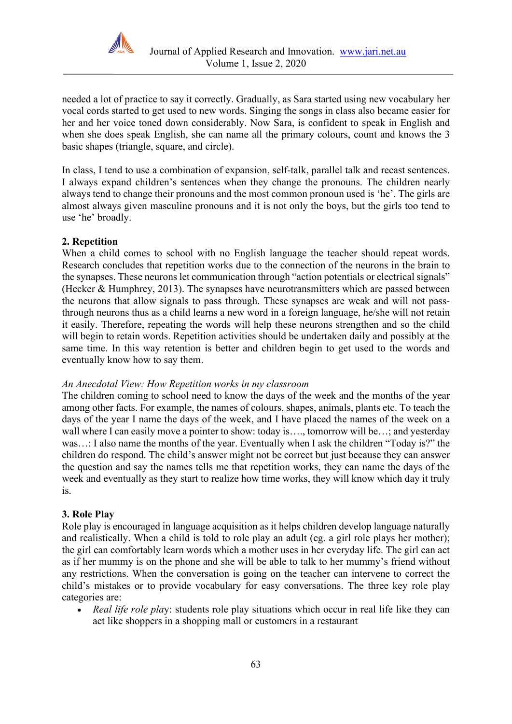

needed a lot of practice to say it correctly. Gradually, as Sara started using new vocabulary her vocal cords started to get used to new words. Singing the songs in class also became easier for her and her voice toned down considerably. Now Sara, is confident to speak in English and when she does speak English, she can name all the primary colours, count and knows the 3 basic shapes (triangle, square, and circle).

In class, I tend to use a combination of expansion, self-talk, parallel talk and recast sentences. I always expand children's sentences when they change the pronouns. The children nearly always tend to change their pronouns and the most common pronoun used is 'he'. The girls are almost always given masculine pronouns and it is not only the boys, but the girls too tend to use 'he' broadly.

# **2. Repetition**

When a child comes to school with no English language the teacher should repeat words. Research concludes that repetition works due to the connection of the neurons in the brain to the synapses. These neurons let communication through "action potentials or electrical signals" (Hecker & Humphrey, 2013). The synapses have neurotransmitters which are passed between the neurons that allow signals to pass through. These synapses are weak and will not passthrough neurons thus as a child learns a new word in a foreign language, he/she will not retain it easily. Therefore, repeating the words will help these neurons strengthen and so the child will begin to retain words. Repetition activities should be undertaken daily and possibly at the same time. In this way retention is better and children begin to get used to the words and eventually know how to say them.

## *An Anecdotal View: How Repetition works in my classroom*

The children coming to school need to know the days of the week and the months of the year among other facts. For example, the names of colours, shapes, animals, plants etc. To teach the days of the year I name the days of the week, and I have placed the names of the week on a wall where I can easily move a pointer to show: today is…., tomorrow will be…; and yesterday was…: I also name the months of the year. Eventually when I ask the children "Today is?" the children do respond. The child's answer might not be correct but just because they can answer the question and say the names tells me that repetition works, they can name the days of the week and eventually as they start to realize how time works, they will know which day it truly is.

## **3. Role Play**

Role play is encouraged in language acquisition as it helps children develop language naturally and realistically. When a child is told to role play an adult (eg. a girl role plays her mother); the girl can comfortably learn words which a mother uses in her everyday life. The girl can act as if her mummy is on the phone and she will be able to talk to her mummy's friend without any restrictions. When the conversation is going on the teacher can intervene to correct the child's mistakes or to provide vocabulary for easy conversations. The three key role play categories are:

• *Real life role play:* students role play situations which occur in real life like they can act like shoppers in a shopping mall or customers in a restaurant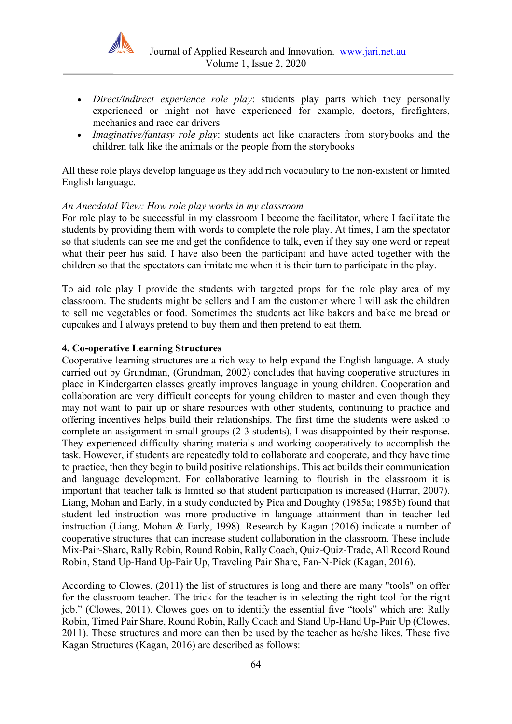

- *Direct/indirect experience role play*: students play parts which they personally experienced or might not have experienced for example, doctors, firefighters, mechanics and race car drivers
- *Imaginative/fantasy role play*: students act like characters from storybooks and the children talk like the animals or the people from the storybooks

All these role plays develop language as they add rich vocabulary to the non-existent or limited English language.

#### *An Anecdotal View: How role play works in my classroom*

For role play to be successful in my classroom I become the facilitator, where I facilitate the students by providing them with words to complete the role play. At times, I am the spectator so that students can see me and get the confidence to talk, even if they say one word or repeat what their peer has said. I have also been the participant and have acted together with the children so that the spectators can imitate me when it is their turn to participate in the play.

To aid role play I provide the students with targeted props for the role play area of my classroom. The students might be sellers and I am the customer where I will ask the children to sell me vegetables or food. Sometimes the students act like bakers and bake me bread or cupcakes and I always pretend to buy them and then pretend to eat them.

#### **4. Co-operative Learning Structures**

Cooperative learning structures are a rich way to help expand the English language. A study carried out by Grundman, (Grundman, 2002) concludes that having cooperative structures in place in Kindergarten classes greatly improves language in young children. Cooperation and collaboration are very difficult concepts for young children to master and even though they may not want to pair up or share resources with other students, continuing to practice and offering incentives helps build their relationships. The first time the students were asked to complete an assignment in small groups (2-3 students), I was disappointed by their response. They experienced difficulty sharing materials and working cooperatively to accomplish the task. However, if students are repeatedly told to collaborate and cooperate, and they have time to practice, then they begin to build positive relationships. This act builds their communication and language development. For collaborative learning to flourish in the classroom it is important that teacher talk is limited so that student participation is increased (Harrar, 2007). Liang, Mohan and Early, in a study conducted by Pica and Doughty (1985a; 1985b) found that student led instruction was more productive in language attainment than in teacher led instruction (Liang, Mohan & Early, 1998). Research by Kagan (2016) indicate a number of cooperative structures that can increase student collaboration in the classroom. These include Mix-Pair-Share, Rally Robin, Round Robin, Rally Coach, Quiz-Quiz-Trade, All Record Round Robin, Stand Up-Hand Up-Pair Up, Traveling Pair Share, Fan-N-Pick (Kagan, 2016).

According to Clowes, (2011) the list of structures is long and there are many "tools" on offer for the classroom teacher. The trick for the teacher is in selecting the right tool for the right job." (Clowes, 2011). Clowes goes on to identify the essential five "tools" which are: Rally Robin, Timed Pair Share, Round Robin, Rally Coach and Stand Up-Hand Up-Pair Up (Clowes, 2011). These structures and more can then be used by the teacher as he/she likes. These five Kagan Structures (Kagan, 2016) are described as follows: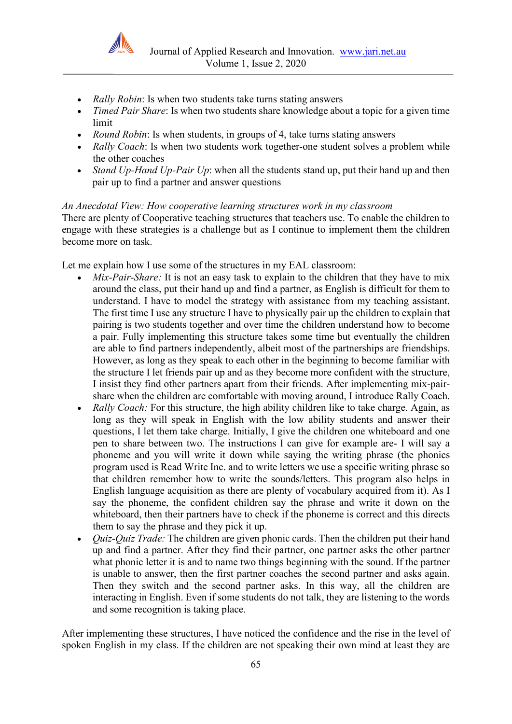

- *Rally Robin*: Is when two students take turns stating answers
- *Timed Pair Share*: Is when two students share knowledge about a topic for a given time limit
- *Round Robin*: Is when students, in groups of 4, take turns stating answers
- *Rally Coach*: Is when two students work together-one student solves a problem while the other coaches
- *Stand Up-Hand Up-Pair Up*: when all the students stand up, put their hand up and then pair up to find a partner and answer questions

*An Anecdotal View: How cooperative learning structures work in my classroom* There are plenty of Cooperative teaching structures that teachers use. To enable the children to engage with these strategies is a challenge but as I continue to implement them the children become more on task.

Let me explain how I use some of the structures in my EAL classroom:

- *Mix-Pair-Share:* It is not an easy task to explain to the children that they have to mix around the class, put their hand up and find a partner, as English is difficult for them to understand. I have to model the strategy with assistance from my teaching assistant. The first time I use any structure I have to physically pair up the children to explain that pairing is two students together and over time the children understand how to become a pair. Fully implementing this structure takes some time but eventually the children are able to find partners independently, albeit most of the partnerships are friendships. However, as long as they speak to each other in the beginning to become familiar with the structure I let friends pair up and as they become more confident with the structure, I insist they find other partners apart from their friends. After implementing mix-pairshare when the children are comfortable with moving around, I introduce Rally Coach.
- *Rally Coach:* For this structure, the high ability children like to take charge. Again, as long as they will speak in English with the low ability students and answer their questions, I let them take charge. Initially, I give the children one whiteboard and one pen to share between two. The instructions I can give for example are- I will say a phoneme and you will write it down while saying the writing phrase (the phonics program used is Read Write Inc. and to write letters we use a specific writing phrase so that children remember how to write the sounds/letters. This program also helps in English language acquisition as there are plenty of vocabulary acquired from it). As I say the phoneme, the confident children say the phrase and write it down on the whiteboard, then their partners have to check if the phoneme is correct and this directs them to say the phrase and they pick it up.
- *Quiz-Quiz Trade:* The children are given phonic cards. Then the children put their hand up and find a partner. After they find their partner, one partner asks the other partner what phonic letter it is and to name two things beginning with the sound. If the partner is unable to answer, then the first partner coaches the second partner and asks again. Then they switch and the second partner asks. In this way, all the children are interacting in English. Even if some students do not talk, they are listening to the words and some recognition is taking place.

After implementing these structures, I have noticed the confidence and the rise in the level of spoken English in my class. If the children are not speaking their own mind at least they are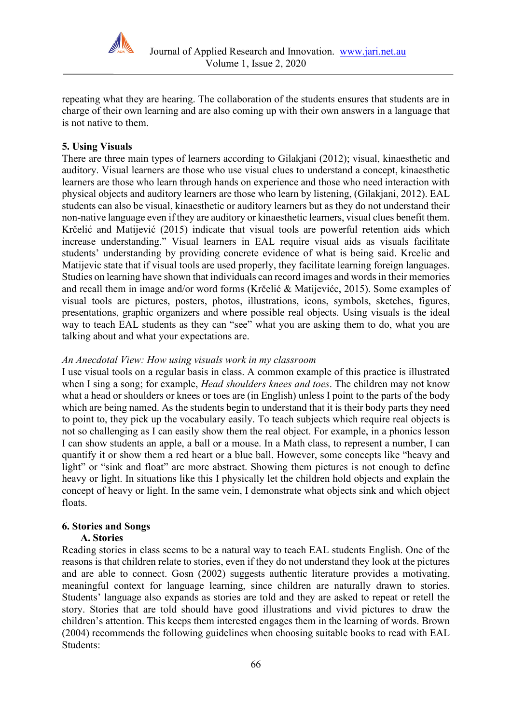

repeating what they are hearing. The collaboration of the students ensures that students are in charge of their own learning and are also coming up with their own answers in a language that is not native to them.

# **5. Using Visuals**

There are three main types of learners according to Gilakjani (2012); visual, kinaesthetic and auditory. Visual learners are those who use visual clues to understand a concept, kinaesthetic learners are those who learn through hands on experience and those who need interaction with physical objects and auditory learners are those who learn by listening, (Gilakjani, 2012). EAL students can also be visual, kinaesthetic or auditory learners but as they do not understand their non-native language even if they are auditory or kinaesthetic learners, visual clues benefit them. Krčelić and Matijević (2015) indicate that visual tools are powerful retention aids which increase understanding." Visual learners in EAL require visual aids as visuals facilitate students' understanding by providing concrete evidence of what is being said. Krcelic and Matijevic state that if visual tools are used properly, they facilitate learning foreign languages. Studies on learning have shown that individuals can record images and words in their memories and recall them in image and/or word forms (Krčelić & Matijevićc, 2015). Some examples of visual tools are pictures, posters, photos, illustrations, icons, symbols, sketches, figures, presentations, graphic organizers and where possible real objects. Using visuals is the ideal way to teach EAL students as they can "see" what you are asking them to do, what you are talking about and what your expectations are.

# *An Anecdotal View: How using visuals work in my classroom*

I use visual tools on a regular basis in class. A common example of this practice is illustrated when I sing a song; for example, *Head shoulders knees and toes*. The children may not know what a head or shoulders or knees or toes are (in English) unless I point to the parts of the body which are being named. As the students begin to understand that it is their body parts they need to point to, they pick up the vocabulary easily. To teach subjects which require real objects is not so challenging as I can easily show them the real object. For example, in a phonics lesson I can show students an apple, a ball or a mouse. In a Math class, to represent a number, I can quantify it or show them a red heart or a blue ball. However, some concepts like "heavy and light" or "sink and float" are more abstract. Showing them pictures is not enough to define heavy or light. In situations like this I physically let the children hold objects and explain the concept of heavy or light. In the same vein, I demonstrate what objects sink and which object floats.

## **6. Stories and Songs**

# **A. Stories**

Reading stories in class seems to be a natural way to teach EAL students English. One of the reasons is that children relate to stories, even if they do not understand they look at the pictures and are able to connect. Gosn (2002) suggests authentic literature provides a motivating, meaningful context for language learning, since children are naturally drawn to stories. Students' language also expands as stories are told and they are asked to repeat or retell the story. Stories that are told should have good illustrations and vivid pictures to draw the children's attention. This keeps them interested engages them in the learning of words. Brown (2004) recommends the following guidelines when choosing suitable books to read with EAL Students: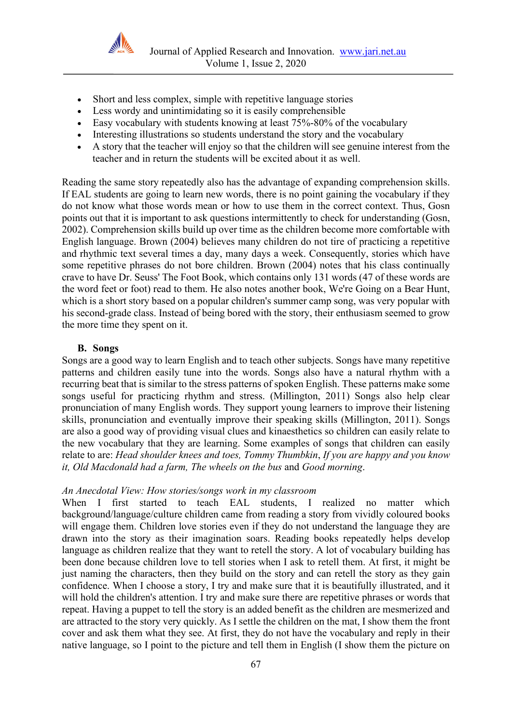

- Short and less complex, simple with repetitive language stories
- Less wordy and unintimidating so it is easily comprehensible
- Easy vocabulary with students knowing at least 75%-80% of the vocabulary
- Interesting illustrations so students understand the story and the vocabulary
- A story that the teacher will enjoy so that the children will see genuine interest from the teacher and in return the students will be excited about it as well.

Reading the same story repeatedly also has the advantage of expanding comprehension skills. If EAL students are going to learn new words, there is no point gaining the vocabulary if they do not know what those words mean or how to use them in the correct context. Thus, Gosn points out that it is important to ask questions intermittently to check for understanding (Gosn, 2002). Comprehension skills build up over time as the children become more comfortable with English language. Brown (2004) believes many children do not tire of practicing a repetitive and rhythmic text several times a day, many days a week. Consequently, stories which have some repetitive phrases do not bore children. Brown (2004) notes that his class continually crave to have Dr. Seuss' The Foot Book, which contains only 131 words (47 of these words are the word feet or foot) read to them. He also notes another book, We're Going on a Bear Hunt, which is a short story based on a popular children's summer camp song, was very popular with his second-grade class. Instead of being bored with the story, their enthusiasm seemed to grow the more time they spent on it.

## **B. Songs**

Songs are a good way to learn English and to teach other subjects. Songs have many repetitive patterns and children easily tune into the words. Songs also have a natural rhythm with a recurring beat that is similar to the stress patterns of spoken English. These patterns make some songs useful for practicing rhythm and stress. (Millington, 2011) Songs also help clear pronunciation of many English words. They support young learners to improve their listening skills, pronunciation and eventually improve their speaking skills (Millington, 2011). Songs are also a good way of providing visual clues and kinaesthetics so children can easily relate to the new vocabulary that they are learning. Some examples of songs that children can easily relate to are: *Head shoulder knees and toes, Tommy Thumbkin*, *If you are happy and you know it, Old Macdonald had a farm, The wheels on the bus* and *Good morning*.

## *An Anecdotal View: How stories/songs work in my classroom*

When I first started to teach EAL students, I realized no matter which background/language/culture children came from reading a story from vividly coloured books will engage them. Children love stories even if they do not understand the language they are drawn into the story as their imagination soars. Reading books repeatedly helps develop language as children realize that they want to retell the story. A lot of vocabulary building has been done because children love to tell stories when I ask to retell them. At first, it might be just naming the characters, then they build on the story and can retell the story as they gain confidence. When I choose a story, I try and make sure that it is beautifully illustrated, and it will hold the children's attention. I try and make sure there are repetitive phrases or words that repeat. Having a puppet to tell the story is an added benefit as the children are mesmerized and are attracted to the story very quickly. As I settle the children on the mat, I show them the front cover and ask them what they see. At first, they do not have the vocabulary and reply in their native language, so I point to the picture and tell them in English (I show them the picture on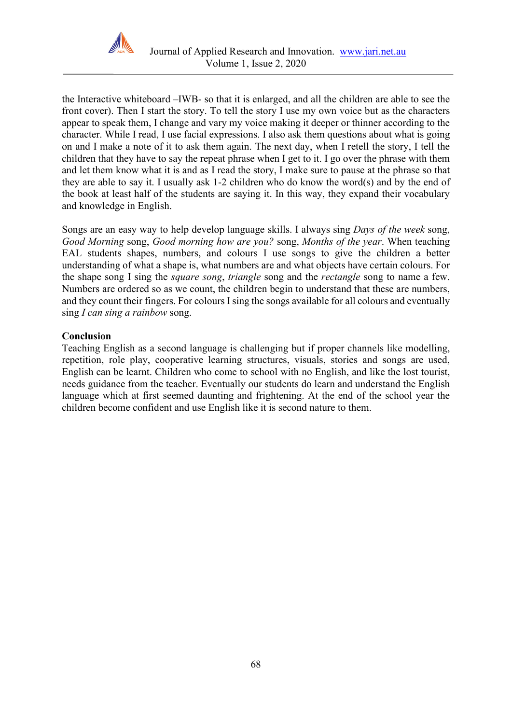

the Interactive whiteboard –IWB- so that it is enlarged, and all the children are able to see the front cover). Then I start the story. To tell the story I use my own voice but as the characters appear to speak them, I change and vary my voice making it deeper or thinner according to the character. While I read, I use facial expressions. I also ask them questions about what is going on and I make a note of it to ask them again. The next day, when I retell the story, I tell the children that they have to say the repeat phrase when I get to it. I go over the phrase with them and let them know what it is and as I read the story, I make sure to pause at the phrase so that they are able to say it. I usually ask 1-2 children who do know the word(s) and by the end of the book at least half of the students are saying it. In this way, they expand their vocabulary and knowledge in English.

Songs are an easy way to help develop language skills. I always sing *Days of the week* song, *Good Morning* song, *Good morning how are you?* song, *Months of the year*. When teaching EAL students shapes, numbers, and colours I use songs to give the children a better understanding of what a shape is, what numbers are and what objects have certain colours. For the shape song I sing the *square song*, *triangle* song and the *rectangle* song to name a few. Numbers are ordered so as we count, the children begin to understand that these are numbers, and they count their fingers. For colours I sing the songs available for all colours and eventually sing *I can sing a rainbow* song.

# **Conclusion**

Teaching English as a second language is challenging but if proper channels like modelling, repetition, role play, cooperative learning structures, visuals, stories and songs are used, English can be learnt. Children who come to school with no English, and like the lost tourist, needs guidance from the teacher. Eventually our students do learn and understand the English language which at first seemed daunting and frightening. At the end of the school year the children become confident and use English like it is second nature to them.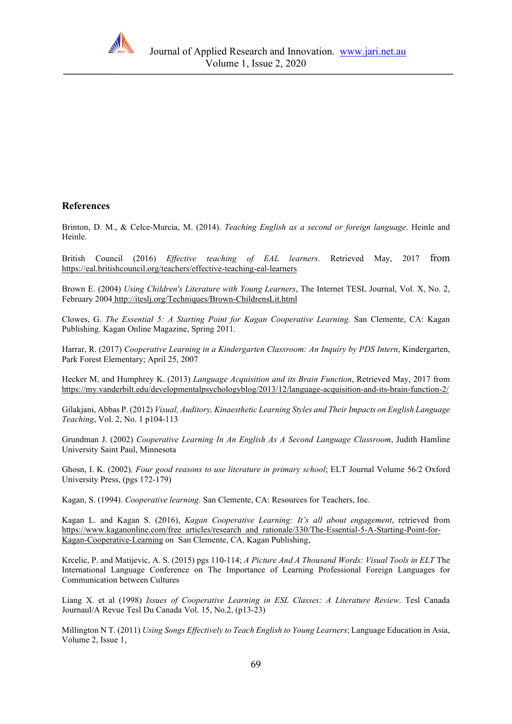

## **References**

Brinton, D. M., & Celce-Murcia, M. (2014). *Teaching English as a second or foreign language*. Heinle and Heinle.

British Council (2016) *Effective teaching of EAL learners*. Retrieved May, 2017 from <https://eal.britishcouncil.org/teachers/effective-teaching-eal-learners>

Brown E. (2004) *Using Children's Literature with Young Learners*, The Internet TESL Journal, Vol. X, No. 2, February 2004 <http://iteslj.org/Techniques/Brown-ChildrensLit.html>

Clowes, G. *The Essential 5: A Starting Point for Kagan Cooperative Learning.* San Clemente, CA: Kagan Publishing. Kagan Online Magazine, Spring 2011.

Harrar, R. (2017) *Cooperative Learning in a Kindergarten Classroom: An Inquiry by PDS Intern*, Kindergarten, Park Forest Elementary; April 25, 2007

Hecker M. and Humphrey K. (2013) *Language Acquisition and its Brain Function*, Retrieved May, 2017 from <https://my.vanderbilt.edu/developmentalpsychologyblog/2013/12/language-acquisition-and-its-brain-function-2/>

Gilakjani, Abbas P. (2012) *Visual, Auditory, Kinaesthetic Learning Styles and Their Impacts on English Language Teaching*, Vol. 2, No. 1 p104-113

Grundman J. (2002) *Cooperative Learning In An English As A Second Language Classroom*, Judith Hamline University Saint Paul, Minnesota

Ghosn, I. K. (2002)*, Four good reasons to use literature in primary school*; ELT Journal Volume 56/2 Oxford University Press, (pgs 172-179)

Kagan, S. (1994). *Cooperative learning*. San Clemente, CA: Resources for Teachers, Inc.

Kagan L. and Kagan S. (2016), *Kagan Cooperative Learning: It's all about engagement*, retrieved fro[m](https://www.kaganonline.com/free_articles/research_and_rationale/330/The-Essential-5-A-Starting-Point-for-Kagan-Cooperative-Learning) [https://www.kaganonline.com/free\\_articles/research\\_and\\_rationale/330/The-Essential-5-A-Starting-Point-for-](https://www.kaganonline.com/free_articles/research_and_rationale/330/The-Essential-5-A-Starting-Point-for-Kagan-Cooperative-Learning)[Kagan-Cooperative-Learning](https://www.kaganonline.com/free_articles/research_and_rationale/330/The-Essential-5-A-Starting-Point-for-Kagan-Cooperative-Learning) on San Clemente, CA, Kagan Publishing,

Krcelic, P. and Matijevic, A. S. (2015) pgs 110-114; *A Picture And A Thousand Words: Visual Tools in ELT* The International Language Conference on The Importance of Learning Professional Foreign Languages for Communication between Cultures

Liang X. et al (1998) *Issues of Cooperative Learning in ESL Classes: A Literature Review*. Tesl Canada Journaul/A Revue Tesl Du Canada Vol. 15, No.2, (p13-23)

Millington N T. (2011) *Using Songs Effectively to Teach English to Young Learners*; Language Education in Asia, Volume 2, Issue 1,